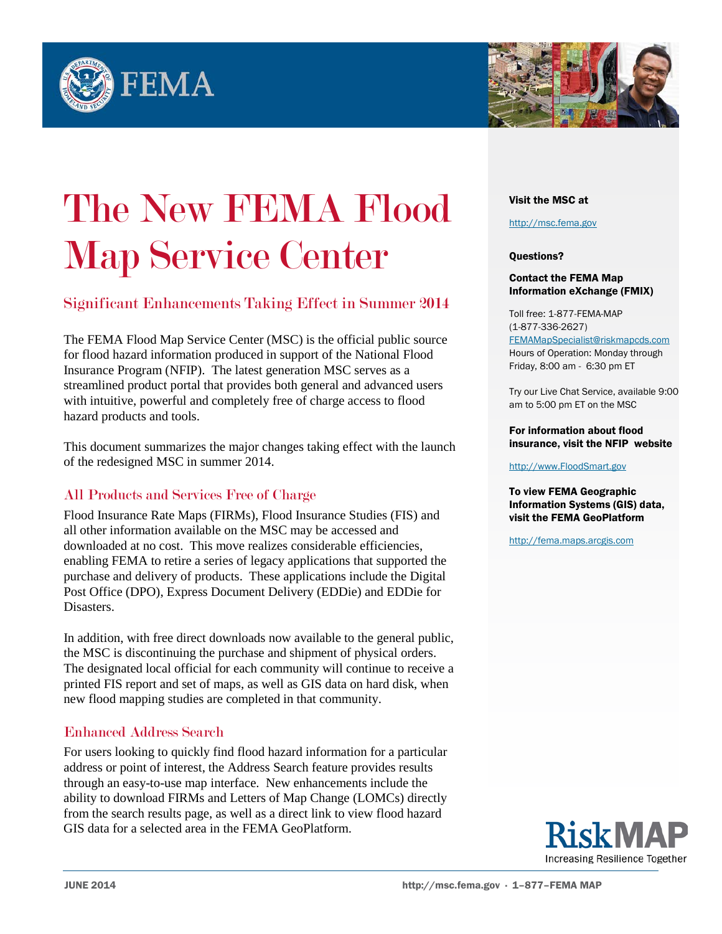



# The New FEMA Flood **Map Service Center**<br>Significant Enhancements Taking Effect in Summer 2014

The FEMA Flood Map Service Center (MSC) is the official public source for flood hazard information produced in support of the National Flood Insurance Program (NFIP). The latest generation MSC serves as a streamlined product portal that provides both general and advanced users with intuitive, powerful and completely free of charge access to flood hazard products and tools.

This document summarizes the major changes taking effect with the launch of the redesigned MSC in summer 2014.

# All Products and Services Free of Charge

Flood Insurance Rate Maps (FIRMs), Flood Insurance Studies (FIS) and all other information available on the MSC may be accessed and downloaded at no cost. This move realizes considerable efficiencies, enabling FEMA to retire a series of legacy applications that supported the purchase and delivery of products. These applications include the Digital Post Office (DPO), Express Document Delivery (EDDie) and EDDie for Disasters.

In addition, with free direct downloads now available to the general public, the MSC is discontinuing the purchase and shipment of physical orders. The designated local official for each community will continue to receive a printed FIS report and set of maps, as well as GIS data on hard disk, when new flood mapping studies are completed in that community.

# Enhanced Address Search

For users looking to quickly find flood hazard information for a particular address or point of interest, the Address Search feature provides results through an easy-to-use map interface. New enhancements include the ability to download FIRMs and Letters of Map Change (LOMCs) directly from the search results page, as well as a direct link to view flood hazard GIS data for a selected area in the FEMA GeoPlatform.

#### Visit the MSC at

[http://msc.fema.gov](http://msc.fema.gov/) 

### Questions?

#### Contact the FEMA Map Information eXchange (FMIX)

Toll free: 1-877-FEMA-MAP (1-877-336-2627) [FEMAMapSpecialist@riskmapcds.com](mailto:FEMAMapSpecialist@riskmapcds.com) Hours of Operation: Monday through Friday, 8:00 am - 6:30 pm ET

Try our Live Chat Service, available 9:00 am to 5:00 pm ET on the MSC

#### For information about flood insurance, visit the NFIP website

[http://www.FloodSmart.gov](http://www.floodsmart.gov/) 

To view FEMA Geographic Information Systems (GIS) data, visit the FEMA GeoPlatform

[http://fema.maps.arcgis.com](http://fema.maps.arcgis.com/)